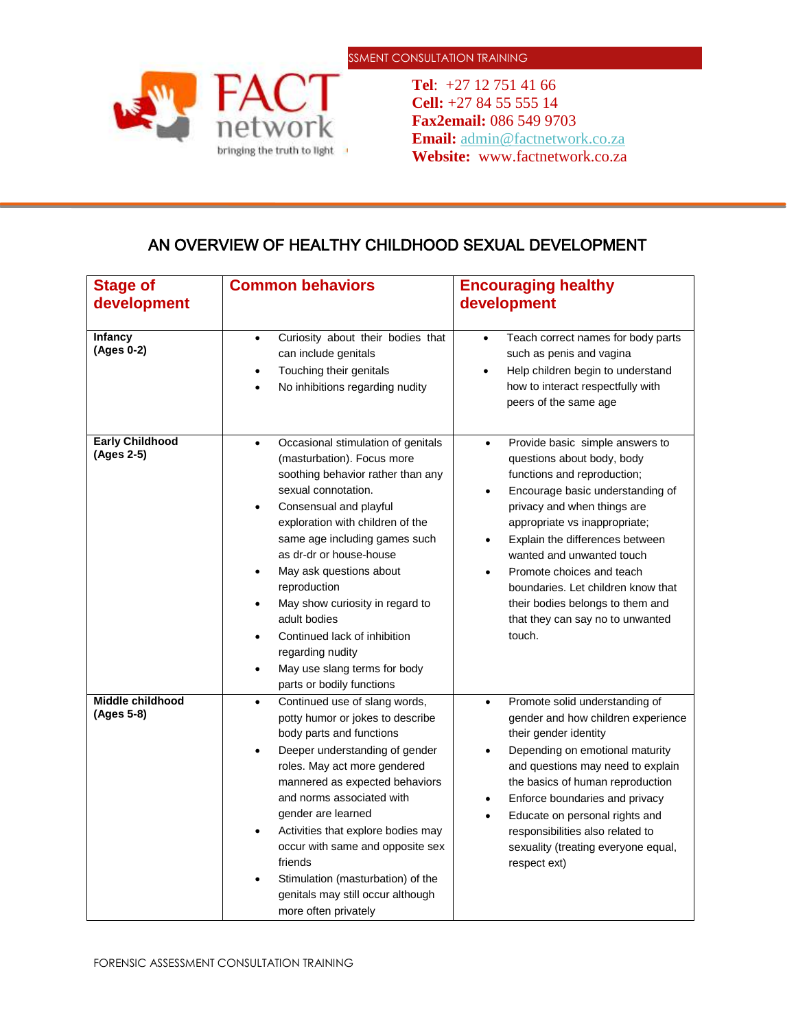

**Tel**: +27 12 751 41 66 **Cell:** +27 84 55 555 14 **Fax2email:** 086 549 9703 **Email:** [admin@factnetwork.co.za](mailto:admin@factnetwork.co.za) **Website:** www.factnetwork.co.za

## AN OVERVIEW OF HEALTHY CHILDHOOD SEXUAL DEVELOPMENT

| <b>Stage of</b><br>development       | <b>Common behaviors</b>                                                                                                                                                                                                                                                                                                                                                                                                                                                                                                                     | <b>Encouraging healthy</b><br>development                                                                                                                                                                                                                                                                                                                                                                                                                                 |
|--------------------------------------|---------------------------------------------------------------------------------------------------------------------------------------------------------------------------------------------------------------------------------------------------------------------------------------------------------------------------------------------------------------------------------------------------------------------------------------------------------------------------------------------------------------------------------------------|---------------------------------------------------------------------------------------------------------------------------------------------------------------------------------------------------------------------------------------------------------------------------------------------------------------------------------------------------------------------------------------------------------------------------------------------------------------------------|
| <b>Infancy</b><br>(Ages 0-2)         | Curiosity about their bodies that<br>$\bullet$<br>can include genitals<br>Touching their genitals<br>No inhibitions regarding nudity                                                                                                                                                                                                                                                                                                                                                                                                        | Teach correct names for body parts<br>$\bullet$<br>such as penis and vagina<br>Help children begin to understand<br>$\bullet$<br>how to interact respectfully with<br>peers of the same age                                                                                                                                                                                                                                                                               |
| <b>Early Childhood</b><br>(Ages 2-5) | Occasional stimulation of genitals<br>$\bullet$<br>(masturbation). Focus more<br>soothing behavior rather than any<br>sexual connotation.<br>Consensual and playful<br>$\bullet$<br>exploration with children of the<br>same age including games such<br>as dr-dr or house-house<br>May ask questions about<br>٠<br>reproduction<br>May show curiosity in regard to<br>$\bullet$<br>adult bodies<br>Continued lack of inhibition<br>$\bullet$<br>regarding nudity<br>May use slang terms for body<br>$\bullet$<br>parts or bodily functions | Provide basic simple answers to<br>$\bullet$<br>questions about body, body<br>functions and reproduction;<br>Encourage basic understanding of<br>$\bullet$<br>privacy and when things are<br>appropriate vs inappropriate;<br>Explain the differences between<br>$\bullet$<br>wanted and unwanted touch<br>Promote choices and teach<br>$\bullet$<br>boundaries. Let children know that<br>their bodies belongs to them and<br>that they can say no to unwanted<br>touch. |
| Middle childhood<br>(Ages 5-8)       | Continued use of slang words,<br>٠<br>potty humor or jokes to describe<br>body parts and functions<br>Deeper understanding of gender<br>$\bullet$<br>roles. May act more gendered<br>mannered as expected behaviors<br>and norms associated with<br>gender are learned<br>Activities that explore bodies may<br>$\bullet$<br>occur with same and opposite sex<br>friends<br>Stimulation (masturbation) of the<br>genitals may still occur although<br>more often privately                                                                  | Promote solid understanding of<br>$\bullet$<br>gender and how children experience<br>their gender identity<br>Depending on emotional maturity<br>$\bullet$<br>and questions may need to explain<br>the basics of human reproduction<br>Enforce boundaries and privacy<br>$\bullet$<br>Educate on personal rights and<br>responsibilities also related to<br>sexuality (treating everyone equal,<br>respect ext)                                                           |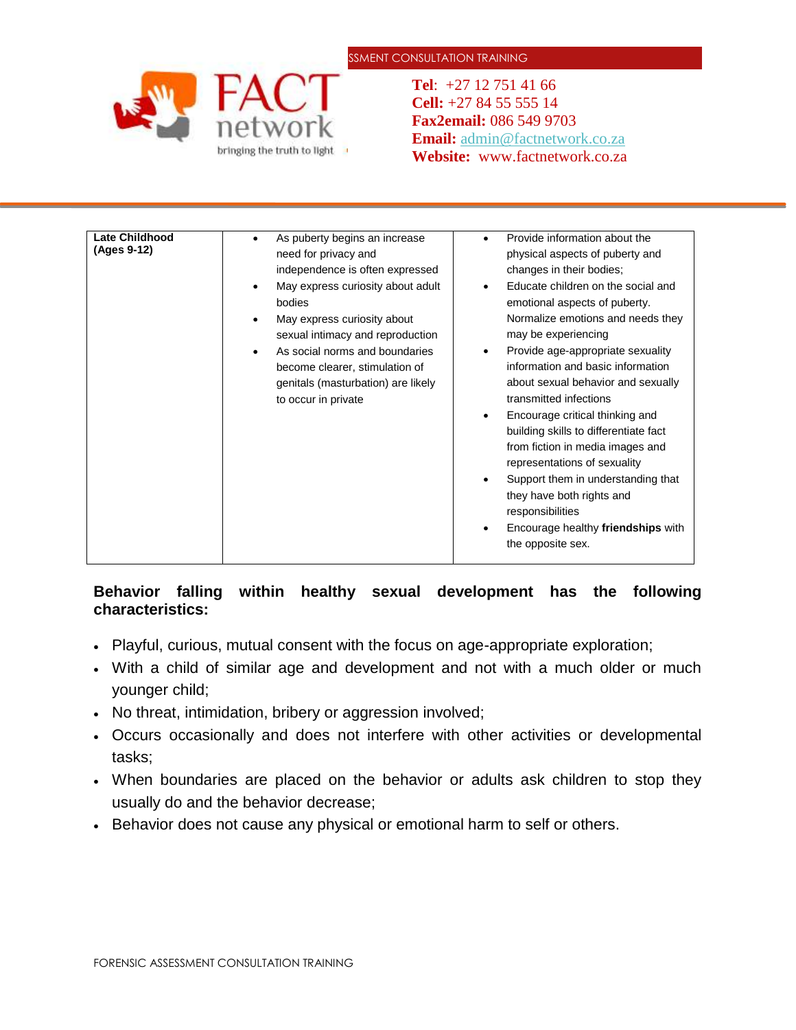## SSMENT CONSULTATION TRAINING



**Tel**: +27 12 751 41 66 **Cell:** +27 84 55 555 14 **Fax2email:** 086 549 9703 **Email:** [admin@factnetwork.co.za](mailto:admin@factnetwork.co.za) **Website:** www.factnetwork.co.za

| <b>Late Childhood</b><br>Provide information about the<br>As puberty begins an increase<br>$\bullet$<br>$\bullet$<br>(Ages 9-12)<br>need for privacy and<br>physical aspects of puberty and<br>independence is often expressed<br>changes in their bodies;<br>May express curiosity about adult<br>Educate children on the social and<br>$\bullet$<br>$\bullet$<br>bodies<br>emotional aspects of puberty.<br>Normalize emotions and needs they<br>May express curiosity about<br>$\bullet$<br>may be experiencing<br>sexual intimacy and reproduction<br>Provide age-appropriate sexuality<br>As social norms and boundaries<br>٠<br>$\bullet$<br>information and basic information<br>become clearer, stimulation of<br>about sexual behavior and sexually<br>genitals (masturbation) are likely<br>transmitted infections<br>to occur in private<br>Encourage critical thinking and<br>٠<br>building skills to differentiate fact<br>from fiction in media images and<br>representations of sexuality<br>Support them in understanding that<br>they have both rights and |
|-----------------------------------------------------------------------------------------------------------------------------------------------------------------------------------------------------------------------------------------------------------------------------------------------------------------------------------------------------------------------------------------------------------------------------------------------------------------------------------------------------------------------------------------------------------------------------------------------------------------------------------------------------------------------------------------------------------------------------------------------------------------------------------------------------------------------------------------------------------------------------------------------------------------------------------------------------------------------------------------------------------------------------------------------------------------------------|
| responsibilities<br>Encourage healthy friendships with<br>the opposite sex.                                                                                                                                                                                                                                                                                                                                                                                                                                                                                                                                                                                                                                                                                                                                                                                                                                                                                                                                                                                                 |

## **Behavior falling within healthy sexual development has the following characteristics:**

- Playful, curious, mutual consent with the focus on age-appropriate exploration;
- With a child of similar age and development and not with a much older or much younger child;
- No threat, intimidation, bribery or aggression involved;
- Occurs occasionally and does not interfere with other activities or developmental tasks;
- When boundaries are placed on the behavior or adults ask children to stop they usually do and the behavior decrease;
- Behavior does not cause any physical or emotional harm to self or others.